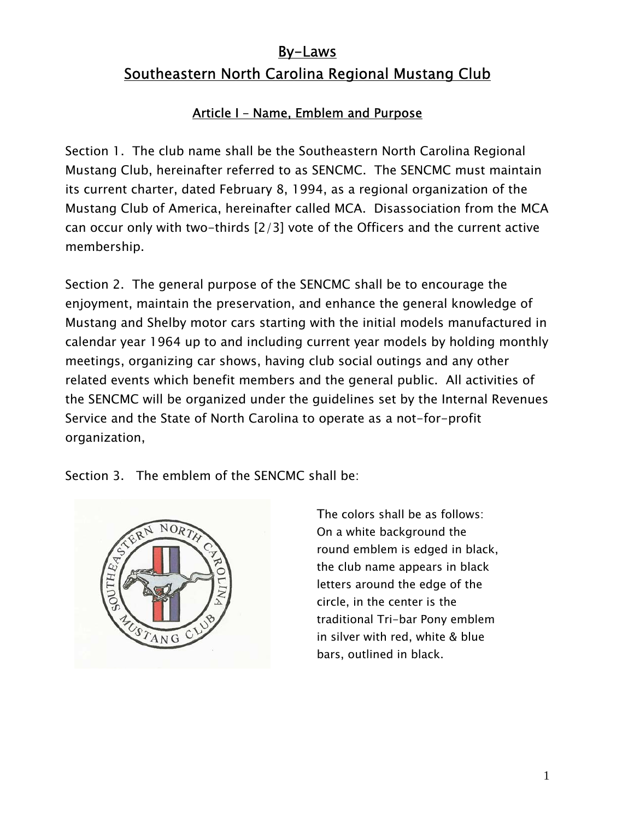# By-Laws Southeastern North Carolina Regional Mustang Club

### Article I – Name, Emblem and Purpose

Section 1. The club name shall be the Southeastern North Carolina Regional Mustang Club, hereinafter referred to as SENCMC. The SENCMC must maintain its current charter, dated February 8, 1994, as a regional organization of the Mustang Club of America, hereinafter called MCA. Disassociation from the MCA can occur only with two-thirds [2/3] vote of the Officers and the current active membership.

Section 2. The general purpose of the SENCMC shall be to encourage the enjoyment, maintain the preservation, and enhance the general knowledge of Mustang and Shelby motor cars starting with the initial models manufactured in calendar year 1964 up to and including current year models by holding monthly meetings, organizing car shows, having club social outings and any other related events which benefit members and the general public. All activities of the SENCMC will be organized under the guidelines set by the Internal Revenues Service and the State of North Carolina to operate as a not-for-profit organization,

Section 3. The emblem of the SENCMC shall be:



 The colors shall be as follows: On a white background the round emblem is edged in black, the club name appears in black letters around the edge of the circle, in the center is the traditional Tri-bar Pony emblem in silver with red, white & blue bars, outlined in black.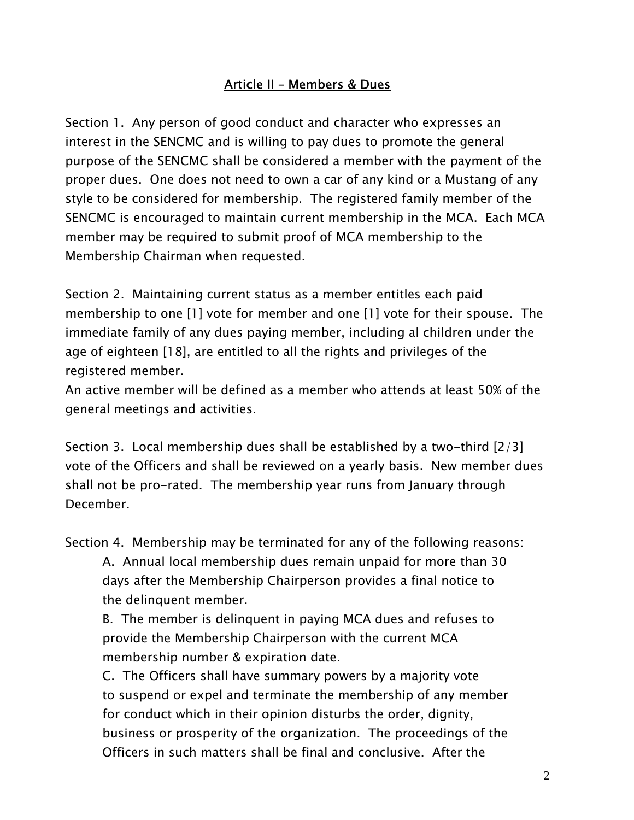#### Article II – Members & Dues

Section 1. Any person of good conduct and character who expresses an interest in the SENCMC and is willing to pay dues to promote the general purpose of the SENCMC shall be considered a member with the payment of the proper dues. One does not need to own a car of any kind or a Mustang of any style to be considered for membership. The registered family member of the SENCMC is encouraged to maintain current membership in the MCA. Each MCA member may be required to submit proof of MCA membership to the Membership Chairman when requested.

Section 2. Maintaining current status as a member entitles each paid membership to one [1] vote for member and one [1] vote for their spouse. The immediate family of any dues paying member, including al children under the age of eighteen [18], are entitled to all the rights and privileges of the registered member.

An active member will be defined as a member who attends at least 50% of the general meetings and activities.

Section 3. Local membership dues shall be established by a two-third [2/3] vote of the Officers and shall be reviewed on a yearly basis. New member dues shall not be pro-rated. The membership year runs from January through December.

Section 4. Membership may be terminated for any of the following reasons:

 A. Annual local membership dues remain unpaid for more than 30 days after the Membership Chairperson provides a final notice to the delinquent member.

 B. The member is delinquent in paying MCA dues and refuses to provide the Membership Chairperson with the current MCA membership number & expiration date.

 C. The Officers shall have summary powers by a majority vote to suspend or expel and terminate the membership of any member for conduct which in their opinion disturbs the order, dignity, business or prosperity of the organization. The proceedings of the Officers in such matters shall be final and conclusive. After the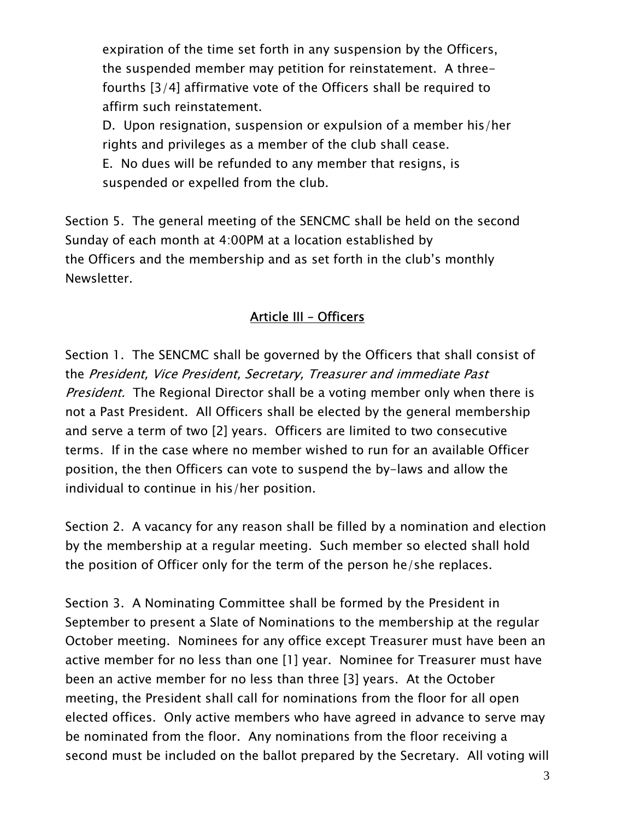expiration of the time set forth in any suspension by the Officers, the suspended member may petition for reinstatement. A three fourths [3/4] affirmative vote of the Officers shall be required to affirm such reinstatement.

 D. Upon resignation, suspension or expulsion of a member his/her rights and privileges as a member of the club shall cease.

 E. No dues will be refunded to any member that resigns, is suspended or expelled from the club.

Section 5. The general meeting of the SENCMC shall be held on the second Sunday of each month at 4:00PM at a location established by the Officers and the membership and as set forth in the club's monthly Newsletter.

#### Article III – Officers

Section 1. The SENCMC shall be governed by the Officers that shall consist of the President, Vice President, Secretary, Treasurer and immediate Past *President.* The Regional Director shall be a voting member only when there is not a Past President. All Officers shall be elected by the general membership and serve a term of two [2] years. Officers are limited to two consecutive terms. If in the case where no member wished to run for an available Officer position, the then Officers can vote to suspend the by-laws and allow the individual to continue in his/her position.

Section 2. A vacancy for any reason shall be filled by a nomination and election by the membership at a regular meeting. Such member so elected shall hold the position of Officer only for the term of the person he/she replaces.

Section 3. A Nominating Committee shall be formed by the President in September to present a Slate of Nominations to the membership at the regular October meeting. Nominees for any office except Treasurer must have been an active member for no less than one [1] year. Nominee for Treasurer must have been an active member for no less than three [3] years. At the October meeting, the President shall call for nominations from the floor for all open elected offices. Only active members who have agreed in advance to serve may be nominated from the floor. Any nominations from the floor receiving a second must be included on the ballot prepared by the Secretary. All voting will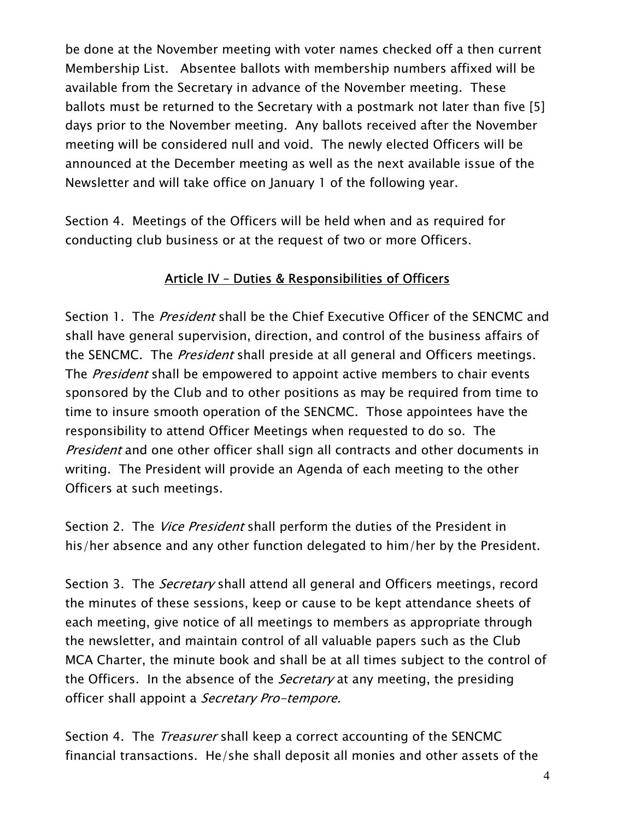be done at the November meeting with voter names checked off a then current Membership List. Absentee ballots with membership numbers affixed will be available from the Secretary in advance of the November meeting. These ballots must be returned to the Secretary with a postmark not later than five [5] days prior to the November meeting. Any ballots received after the November meeting will be considered null and void. The newly elected Officers will be announced at the December meeting as well as the next available issue of the Newsletter and will take office on January 1 of the following year.

Section 4. Meetings of the Officers will be held when and as required for conducting club business or at the request of two or more Officers.

## Article IV – Duties & Responsibilities of Officers

Section 1. The *President* shall be the Chief Executive Officer of the SENCMC and shall have general supervision, direction, and control of the business affairs of the SENCMC. The *President* shall preside at all general and Officers meetings. The President shall be empowered to appoint active members to chair events sponsored by the Club and to other positions as may be required from time to time to insure smooth operation of the SENCMC. Those appointees have the responsibility to attend Officer Meetings when requested to do so. The President and one other officer shall sign all contracts and other documents in writing. The President will provide an Agenda of each meeting to the other Officers at such meetings.

Section 2. The *Vice President* shall perform the duties of the President in his/her absence and any other function delegated to him/her by the President.

Section 3. The *Secretary* shall attend all general and Officers meetings, record the minutes of these sessions, keep or cause to be kept attendance sheets of each meeting, give notice of all meetings to members as appropriate through the newsletter, and maintain control of all valuable papers such as the Club MCA Charter, the minute book and shall be at all times subject to the control of the Officers. In the absence of the *Secretary* at any meeting, the presiding officer shall appoint a *Secretary Pro-tempore.* 

Section 4. The *Treasurer* shall keep a correct accounting of the SENCMC financial transactions. He/she shall deposit all monies and other assets of the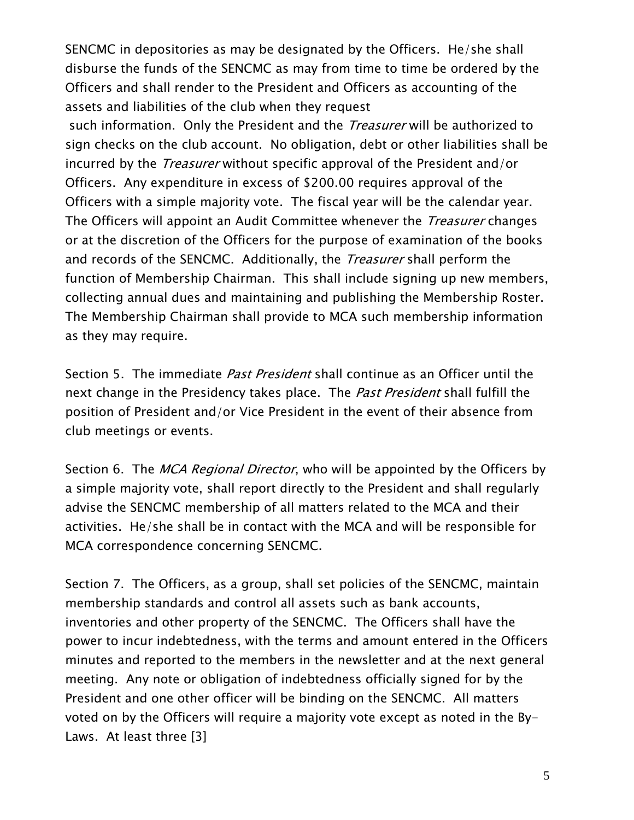SENCMC in depositories as may be designated by the Officers. He/she shall disburse the funds of the SENCMC as may from time to time be ordered by the Officers and shall render to the President and Officers as accounting of the assets and liabilities of the club when they request

such information. Only the President and the *Treasurer* will be authorized to sign checks on the club account. No obligation, debt or other liabilities shall be incurred by the *Treasurer* without specific approval of the President and/or Officers. Any expenditure in excess of \$200.00 requires approval of the Officers with a simple majority vote. The fiscal year will be the calendar year. The Officers will appoint an Audit Committee whenever the *Treasurer* changes or at the discretion of the Officers for the purpose of examination of the books and records of the SENCMC. Additionally, the *Treasurer* shall perform the function of Membership Chairman. This shall include signing up new members, collecting annual dues and maintaining and publishing the Membership Roster. The Membership Chairman shall provide to MCA such membership information as they may require.

Section 5. The immediate Past President shall continue as an Officer until the next change in the Presidency takes place. The *Past President* shall fulfill the position of President and/or Vice President in the event of their absence from club meetings or events.

Section 6. The MCA Regional Director, who will be appointed by the Officers by a simple majority vote, shall report directly to the President and shall regularly advise the SENCMC membership of all matters related to the MCA and their activities. He/she shall be in contact with the MCA and will be responsible for MCA correspondence concerning SENCMC.

Section 7. The Officers, as a group, shall set policies of the SENCMC, maintain membership standards and control all assets such as bank accounts, inventories and other property of the SENCMC. The Officers shall have the power to incur indebtedness, with the terms and amount entered in the Officers minutes and reported to the members in the newsletter and at the next general meeting. Any note or obligation of indebtedness officially signed for by the President and one other officer will be binding on the SENCMC. All matters voted on by the Officers will require a majority vote except as noted in the By-Laws. At least three [3]